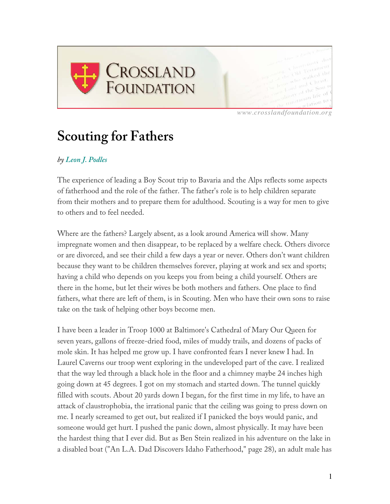

*www.crosslandfoundation.org*

## **Scouting for Fathers**

## *by Leon J. Podles*

The experience of leading a Boy Scout trip to Bavaria and the Alps reflects some aspects of fatherhood and the role of the father. The father's role is to help children separate from their mothers and to prepare them for adulthood. Scouting is a way for men to give to others and to feel needed.

Where are the fathers? Largely absent, as a look around America will show. Many impregnate women and then disappear, to be replaced by a welfare check. Others divorce or are divorced, and see their child a few days a year or never. Others don't want children because they want to be children themselves forever, playing at work and sex and sports; having a child who depends on you keeps you from being a child yourself. Others are there in the home, but let their wives be both mothers and fathers. One place to find fathers, what there are left of them, is in Scouting. Men who have their own sons to raise take on the task of helping other boys become men.

I have been a leader in Troop 1000 at Baltimore's Cathedral of Mary Our Queen for seven years, gallons of freeze-dried food, miles of muddy trails, and dozens of packs of mole skin. It has helped me grow up. I have confronted fears I never knew I had. In Laurel Caverns our troop went exploring in the undeveloped part of the cave. I realized that the way led through a black hole in the floor and a chimney maybe 24 inches high going down at 45 degrees. I got on my stomach and started down. The tunnel quickly filled with scouts. About 20 yards down I began, for the first time in my life, to have an attack of claustrophobia, the irrational panic that the ceiling was going to press down on me. I nearly screamed to get out, but realized if I panicked the boys would panic, and someone would get hurt. I pushed the panic down, almost physically. It may have been the hardest thing that I ever did. But as Ben Stein realized in his adventure on the lake in a disabled boat ("An L.A. Dad Discovers Idaho Fatherhood," page 28), an adult male has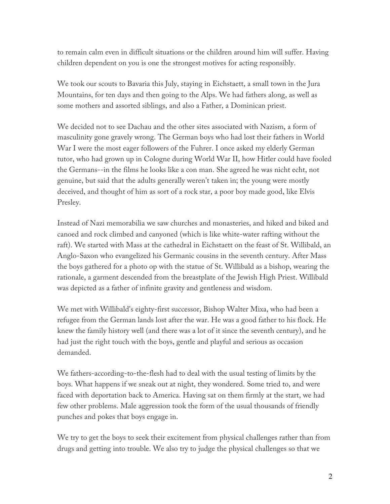to remain calm even in difficult situations or the children around him will suffer. Having children dependent on you is one the strongest motives for acting responsibly.

We took our scouts to Bavaria this July, staying in Eichstaett, a small town in the Jura Mountains, for ten days and then going to the Alps. We had fathers along, as well as some mothers and assorted siblings, and also a Father, a Dominican priest.

We decided not to see Dachau and the other sites associated with Nazism, a form of masculinity gone gravely wrong. The German boys who had lost their fathers in World War I were the most eager followers of the Fuhrer. I once asked my elderly German tutor, who had grown up in Cologne during World War II, how Hitler could have fooled the Germans--in the films he looks like a con man. She agreed he was nicht echt, not genuine, but said that the adults generally weren't taken in; the young were mostly deceived, and thought of him as sort of a rock star, a poor boy made good, like Elvis Presley.

Instead of Nazi memorabilia we saw churches and monasteries, and hiked and biked and canoed and rock climbed and canyoned (which is like white-water rafting without the raft). We started with Mass at the cathedral in Eichstaett on the feast of St. Willibald, an Anglo-Saxon who evangelized his Germanic cousins in the seventh century. After Mass the boys gathered for a photo op with the statue of St. Willibald as a bishop, wearing the rationale, a garment descended from the breastplate of the Jewish High Priest. Willibald was depicted as a father of infinite gravity and gentleness and wisdom.

We met with Willibald's eighty-first successor, Bishop Walter Mixa, who had been a refugee from the German lands lost after the war. He was a good father to his flock. He knew the family history well (and there was a lot of it since the seventh century), and he had just the right touch with the boys, gentle and playful and serious as occasion demanded.

We fathers-according-to-the-flesh had to deal with the usual testing of limits by the boys. What happens if we sneak out at night, they wondered. Some tried to, and were faced with deportation back to America. Having sat on them firmly at the start, we had few other problems. Male aggression took the form of the usual thousands of friendly punches and pokes that boys engage in.

We try to get the boys to seek their excitement from physical challenges rather than from drugs and getting into trouble. We also try to judge the physical challenges so that we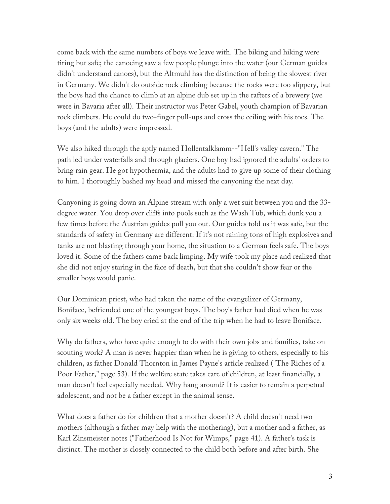come back with the same numbers of boys we leave with. The biking and hiking were tiring but safe; the canoeing saw a few people plunge into the water (our German guides didn't understand canoes), but the Altmuhl has the distinction of being the slowest river in Germany. We didn't do outside rock climbing because the rocks were too slippery, but the boys had the chance to climb at an alpine dub set up in the rafters of a brewery (we were in Bavaria after all). Their instructor was Peter Gabel, youth champion of Bavarian rock climbers. He could do two-finger pull-ups and cross the ceiling with his toes. The boys (and the adults) were impressed.

We also hiked through the aptly named Hollentalklamm--"Hell's valley cavern." The path led under waterfalls and through glaciers. One boy had ignored the adults' orders to bring rain gear. He got hypothermia, and the adults had to give up some of their clothing to him. I thoroughly bashed my head and missed the canyoning the next day.

Canyoning is going down an Alpine stream with only a wet suit between you and the 33 degree water. You drop over cliffs into pools such as the Wash Tub, which dunk you a few times before the Austrian guides pull you out. Our guides told us it was safe, but the standards of safety in Germany are different: If it's not raining tons of high explosives and tanks are not blasting through your home, the situation to a German feels safe. The boys loved it. Some of the fathers came back limping. My wife took my place and realized that she did not enjoy staring in the face of death, but that she couldn't show fear or the smaller boys would panic.

Our Dominican priest, who had taken the name of the evangelizer of Germany, Boniface, befriended one of the youngest boys. The boy's father had died when he was only six weeks old. The boy cried at the end of the trip when he had to leave Boniface.

Why do fathers, who have quite enough to do with their own jobs and families, take on scouting work? A man is never happier than when he is giving to others, especially to his children, as father Donald Thornton in James Payne's article realized ("The Riches of a Poor Father," page 53). If the welfare state takes care of children, at least financially, a man doesn't feel especially needed. Why hang around? It is easier to remain a perpetual adolescent, and not be a father except in the animal sense.

What does a father do for children that a mother doesn't? A child doesn't need two mothers (although a father may help with the mothering), but a mother and a father, as Karl Zinsmeister notes ("Fatherhood Is Not for Wimps," page 41). A father's task is distinct. The mother is closely connected to the child both before and after birth. She